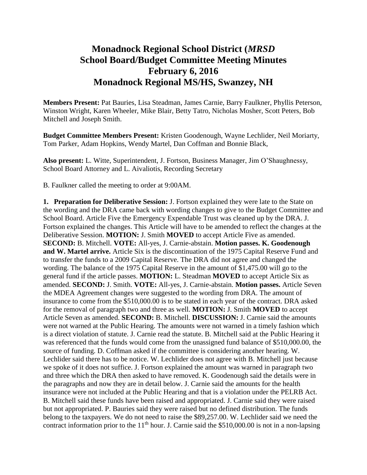# **Monadnock Regional School District (***MRSD* **School Board/Budget Committee Meeting Minutes February 6, 2016 Monadnock Regional MS/HS, Swanzey, NH**

**Members Present:** Pat Bauries, Lisa Steadman, James Carnie, Barry Faulkner, Phyllis Peterson, Winston Wright, Karen Wheeler, Mike Blair, Betty Tatro, Nicholas Mosher, Scott Peters, Bob Mitchell and Joseph Smith.

**Budget Committee Members Present:** Kristen Goodenough, Wayne Lechlider, Neil Moriarty, Tom Parker, Adam Hopkins, Wendy Martel, Dan Coffman and Bonnie Black,

**Also present:** L. Witte, Superintendent, J. Fortson, Business Manager, Jim O'Shaughnessy, School Board Attorney and L. Aivaliotis, Recording Secretary

B. Faulkner called the meeting to order at 9:00AM.

**1. Preparation for Deliberative Session:** J. Fortson explained they were late to the State on the wording and the DRA came back with wording changes to give to the Budget Committee and School Board. Article Five the Emergency Expendable Trust was cleaned up by the DRA. J. Fortson explained the changes. This Article will have to be amended to reflect the changes at the Deliberative Session. **MOTION:** J. Smith **MOVED** to accept Article Five as amended. **SECOND:** B. Mitchell. **VOTE:** All-yes, J. Carnie-abstain. **Motion passes. K. Goodenough and W. Martel arrive.** Article Six is the discontinuation of the 1975 Capital Reserve Fund and to transfer the funds to a 2009 Capital Reserve. The DRA did not agree and changed the wording. The balance of the 1975 Capital Reserve in the amount of \$1,475.00 will go to the general fund if the article passes. **MOTION:** L. Steadman **MOVED** to accept Article Six as amended. **SECOND:** J. Smith. **VOTE:** All-yes, J. Carnie-abstain. **Motion passes.** Article Seven the MDEA Agreement changes were suggested to the wording from DRA. The amount of insurance to come from the \$510,000.00 is to be stated in each year of the contract. DRA asked for the removal of paragraph two and three as well. **MOTION:** J. Smith **MOVED** to accept Article Seven as amended. **SECOND:** B. Mitchell. **DISCUSSION:** J. Carnie said the amounts were not warned at the Public Hearing. The amounts were not warned in a timely fashion which is a direct violation of statute. J. Carnie read the statute. B. Mitchell said at the Public Hearing it was referenced that the funds would come from the unassigned fund balance of \$510,000.00, the source of funding. D. Coffman asked if the committee is considering another hearing. W. Lechlider said there has to be notice. W. Lechlider does not agree with B. Mitchell just because we spoke of it does not suffice. J. Fortson explained the amount was warned in paragraph two and three which the DRA then asked to have removed. K. Goodenough said the details were in the paragraphs and now they are in detail below. J. Carnie said the amounts for the health insurance were not included at the Public Hearing and that is a violation under the PELRB Act. B. Mitchell said these funds have been raised and appropriated. J. Carnie said they were raised but not appropriated. P. Bauries said they were raised but no defined distribution. The funds belong to the taxpayers. We do not need to raise the \$89,257.00. W. Lechlider said we need the contract information prior to the  $11<sup>th</sup>$  hour. J. Carnie said the \$510,000.00 is not in a non-lapsing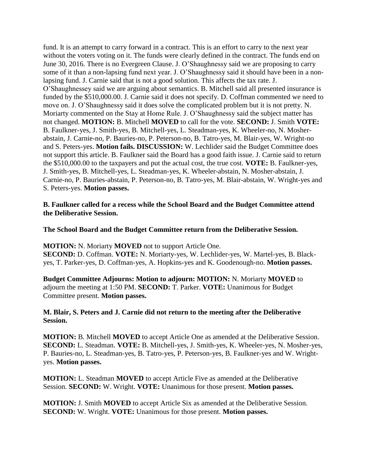fund. It is an attempt to carry forward in a contract. This is an effort to carry to the next year without the voters voting on it. The funds were clearly defined in the contract. The funds end on June 30, 2016. There is no Evergreen Clause. J. O'Shaughnessy said we are proposing to carry some of it than a non-lapsing fund next year. J. O'Shaughnessy said it should have been in a nonlapsing fund. J. Carnie said that is not a good solution. This affects the tax rate. J. O'Shaughnessey said we are arguing about semantics. B. Mitchell said all presented insurance is funded by the \$510,000.00. J. Carnie said it does not specify. D. Coffman commented we need to move on. J. O'Shaughnessy said it does solve the complicated problem but it is not pretty. N. Moriarty commented on the Stay at Home Rule. J. O'Shaughnessy said the subject matter has not changed. **MOTION:** B. Mitchell **MOVED** to call for the vote. **SECOND:** J. Smith **VOTE:**  B. Faulkner-yes, J. Smith-yes, B. Mitchell-yes, L. Steadman-yes, K. Wheeler-no, N. Mosherabstain, J. Carnie-no, P. Bauries-no, P. Peterson-no, B. Tatro-yes, M. Blair-yes, W. Wright-no and S. Peters-yes. **Motion fails. DISCUSSION:** W. Lechlider said the Budget Committee does not support this article. B. Faulkner said the Board has a good faith issue. J. Carnie said to return the \$510,000.00 to the taxpayers and put the actual cost, the true cost. **VOTE:** B. Faulkner-yes, J. Smith-yes, B. Mitchell-yes, L. Steadman-yes, K. Wheeler-abstain, N. Mosher-abstain, J. Carnie-no, P. Bauries-abstain, P. Peterson-no, B. Tatro-yes, M. Blair-abstain, W. Wright-yes and S. Peters-yes. **Motion passes.** 

## **B. Faulkner called for a recess while the School Board and the Budget Committee attend the Deliberative Session.**

## **The School Board and the Budget Committee return from the Deliberative Session.**

### **MOTION:** N. Moriarty **MOVED** not to support Article One.

**SECOND:** D. Coffman. **VOTE:** N. Moriarty-yes, W. Lechlider-yes, W. Martel-yes, B. Blackyes, T. Parker-yes, D. Coffman-yes, A. Hopkins-yes and K. Goodenough-no. **Motion passes.**

**Budget Committee Adjourns: Motion to adjourn: MOTION:** N. Moriarty **MOVED** to adjourn the meeting at 1:50 PM. **SECOND:** T. Parker. **VOTE:** Unanimous for Budget Committee present. **Motion passes.** 

### **M. Blair, S. Peters and J. Carnie did not return to the meeting after the Deliberative Session.**

**MOTION:** B. Mitchell **MOVED** to accept Article One as amended at the Deliberative Session. **SECOND:** L. Steadman. **VOTE:** B. Mitchell-yes, J. Smith-yes, K. Wheeler-yes, N. Mosher-yes, P. Bauries-no, L. Steadman-yes, B. Tatro-yes, P. Peterson-yes, B. Faulkner-yes and W. Wrightyes. **Motion passes.** 

**MOTION:** L. Steadman **MOVED** to accept Article Five as amended at the Deliberative Session. **SECOND:** W. Wright. **VOTE:** Unanimous for those present. **Motion passes.** 

**MOTION:** J. Smith **MOVED** to accept Article Six as amended at the Deliberative Session. **SECOND:** W. Wright. **VOTE:** Unanimous for those present. **Motion passes.**